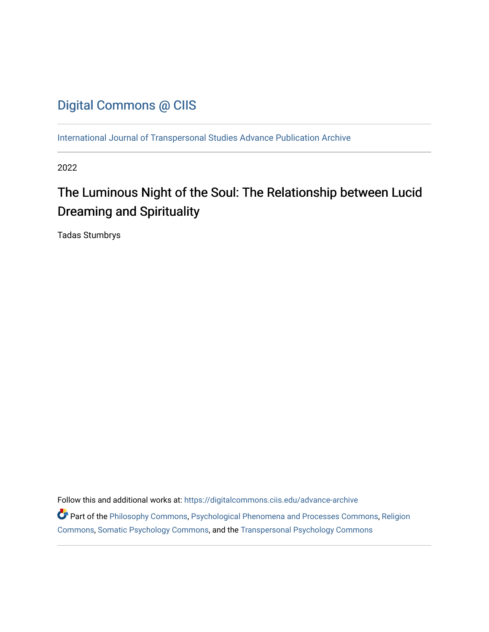# [Digital Commons @ CIIS](https://digitalcommons.ciis.edu/)

[International Journal of Transpersonal Studies Advance Publication Archive](https://digitalcommons.ciis.edu/advance-archive)

2022

# The Luminous Night of the Soul: The Relationship between Lucid Dreaming and Spirituality

Tadas Stumbrys

Follow this and additional works at: [https://digitalcommons.ciis.edu/advance-archive](https://digitalcommons.ciis.edu/advance-archive?utm_source=digitalcommons.ciis.edu%2Fadvance-archive%2F37&utm_medium=PDF&utm_campaign=PDFCoverPages)

Part of the [Philosophy Commons,](https://network.bepress.com/hgg/discipline/525?utm_source=digitalcommons.ciis.edu%2Fadvance-archive%2F37&utm_medium=PDF&utm_campaign=PDFCoverPages) [Psychological Phenomena and Processes Commons,](https://network.bepress.com/hgg/discipline/914?utm_source=digitalcommons.ciis.edu%2Fadvance-archive%2F37&utm_medium=PDF&utm_campaign=PDFCoverPages) [Religion](https://network.bepress.com/hgg/discipline/538?utm_source=digitalcommons.ciis.edu%2Fadvance-archive%2F37&utm_medium=PDF&utm_campaign=PDFCoverPages)  [Commons](https://network.bepress.com/hgg/discipline/538?utm_source=digitalcommons.ciis.edu%2Fadvance-archive%2F37&utm_medium=PDF&utm_campaign=PDFCoverPages), [Somatic Psychology Commons](https://network.bepress.com/hgg/discipline/1431?utm_source=digitalcommons.ciis.edu%2Fadvance-archive%2F37&utm_medium=PDF&utm_campaign=PDFCoverPages), and the [Transpersonal Psychology Commons](https://network.bepress.com/hgg/discipline/1388?utm_source=digitalcommons.ciis.edu%2Fadvance-archive%2F37&utm_medium=PDF&utm_campaign=PDFCoverPages)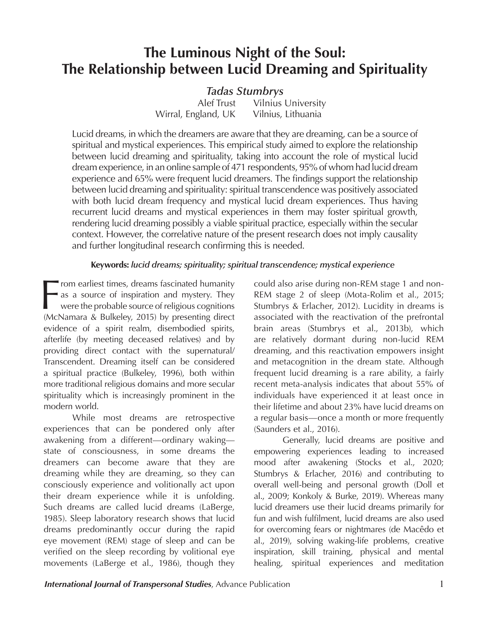# **The Luminous Night of the Soul: The Relationship between Lucid Dreaming and Spirituality**

# *Tadas Stumbrys*

Alef Trust Vilnius University Wirral, England, UK Vilnius, Lithuania

Lucid dreams, in which the dreamers are aware that they are dreaming, can be a source of spiritual and mystical experiences. This empirical study aimed to explore the relationship between lucid dreaming and spirituality, taking into account the role of mystical lucid dream experience, in an online sample of 471 respondents, 95% of whom had lucid dream experience and 65% were frequent lucid dreamers. The findings support the relationship between lucid dreaming and spirituality: spiritual transcendence was positively associated with both lucid dream frequency and mystical lucid dream experiences. Thus having recurrent lucid dreams and mystical experiences in them may foster spiritual growth, rendering lucid dreaming possibly a viable spiritual practice, especially within the secular context. However, the correlative nature of the present research does not imply causality and further longitudinal research confirming this is needed.

## **Keywords:** *lucid dreams; spirituality; spiritual transcendence; mystical experience*

From earliest times, dreams fascinated humanity<br>as a source of inspiration and mystery. They<br>were the probable source of religious cognitions<br>(McNamara & Bulkeley, 2015) by presenting direct Trom earliest times, dreams fascinated humanity as a source of inspiration and mystery. They were the probable source of religious cognitions evidence of a spirit realm, disembodied spirits, afterlife (by meeting deceased relatives) and by providing direct contact with the supernatural/ Transcendent. Dreaming itself can be considered a spiritual practice (Bulkeley, 1996), both within more traditional religious domains and more secular spirituality which is increasingly prominent in the modern world.

While most dreams are retrospective experiences that can be pondered only after awakening from a different—ordinary waking state of consciousness, in some dreams the dreamers can become aware that they are dreaming while they are dreaming, so they can consciously experience and volitionally act upon their dream experience while it is unfolding. Such dreams are called lucid dreams (LaBerge, 1985). Sleep laboratory research shows that lucid dreams predominantly occur during the rapid eye movement (REM) stage of sleep and can be verified on the sleep recording by volitional eye movements (LaBerge et al., 1986), though they could also arise during non-REM stage 1 and non-REM stage 2 of sleep (Mota-Rolim et al., 2015; Stumbrys & Erlacher, 2012). Lucidity in dreams is associated with the reactivation of the prefrontal brain areas (Stumbrys et al., 2013b), which are relatively dormant during non-lucid REM dreaming, and this reactivation empowers insight and metacognition in the dream state. Although frequent lucid dreaming is a rare ability, a fairly recent meta-analysis indicates that about 55% of individuals have experienced it at least once in their lifetime and about 23% have lucid dreams on a regular basis—once a month or more frequently (Saunders et al., 2016).

Generally, lucid dreams are positive and empowering experiences leading to increased mood after awakening (Stocks et al., 2020; Stumbrys & Erlacher, 2016) and contributing to overall well-being and personal growth (Doll et al., 2009; Konkoly & Burke, 2019). Whereas many lucid dreamers use their lucid dreams primarily for fun and wish fulfilment, lucid dreams are also used for overcoming fears or nightmares (de Macêdo et al., 2019), solving waking-life problems, creative inspiration, skill training, physical and mental healing, spiritual experiences and meditation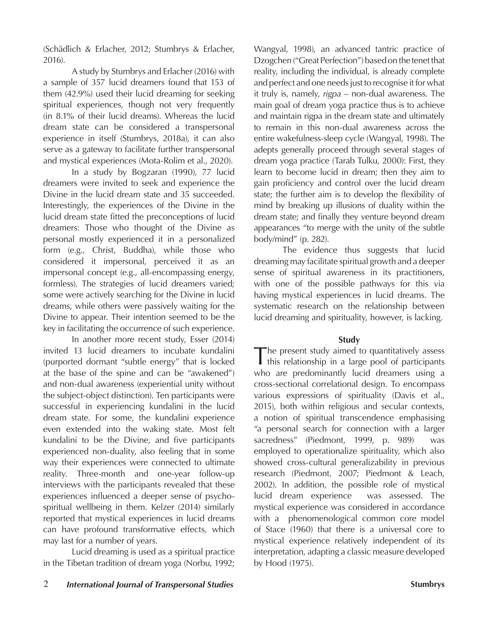(Schädlich & Erlacher, 2012; Stumbrys & Erlacher, 2016).

A study by Stumbrys and Erlacher (2016) with a sample of 357 lucid dreamers found that 153 of them (42.9%) used their lucid dreaming for seeking spiritual experiences, though not very frequently (in 8.1% of their lucid dreams). Whereas the lucid dream state can be considered a transpersonal experience in itself (Stumbrys, 2018a), it can also serve as a gateway to facilitate further transpersonal and mystical experiences (Mota-Rolim et al., 2020).

In a study by Bogzaran (1990), 77 lucid dreamers were invited to seek and experience the Divine in the lucid dream state and 35 succeeded. Interestingly, the experiences of the Divine in the lucid dream state fitted the preconceptions of lucid dreamers: Those who thought of the Divine as personal mostly experienced it in a personalized form (e.g., Christ, Buddha), while those who considered it impersonal, perceived it as an impersonal concept (e.g., all-encompassing energy, formless). The strategies of lucid dreamers varied; some were actively searching for the Divine in lucid dreams, while others were passively waiting for the Divine to appear. Their intention seemed to be the key in facilitating the occurrence of such experience.

In another more recent study, Esser (2014) invited 13 lucid dreamers to incubate kundalini (purported dormant "subtle energy" that is locked at the base of the spine and can be "awakened") and non-dual awareness (experiential unity without the subject-object distinction). Ten participants were successful in experiencing kundalini in the lucid dream state. For some, the kundalini experience even extended into the waking state. Most felt kundalini to be the Divine, and five participants experienced non-duality, also feeling that in some way their experiences were connected to ultimate reality. Three-month and one-year follow-up interviews with the participants revealed that these experiences influenced a deeper sense of psychospiritual wellbeing in them. Kelzer (2014) similarly reported that mystical experiences in lucid dreams can have profound transformative effects, which may last for a number of years.

Lucid dreaming is used as a spiritual practice in the Tibetan tradition of dream yoga (Norbu, 1992; Wangyal, 1998), an advanced tantric practice of Dzogchen ("Great Perfection") based on the tenet that reality, including the individual, is already complete and perfect and one needs just to recognise it for what it truly is, namely, *rigpa* – non-dual awareness. The main goal of dream yoga practice thus is to achieve and maintain rigpa in the dream state and ultimately to remain in this non-dual awareness across the entire wakefulness-sleep cycle (Wangyal, 1998). The adepts generally proceed through several stages of dream yoga practice (Tarab Tulku, 2000): First, they learn to become lucid in dream; then they aim to gain proficiency and control over the lucid dream state; the further aim is to develop the flexibility of mind by breaking up illusions of duality within the dream state; and finally they venture beyond dream appearances "to merge with the unity of the subtle body/mind" (p. 282).

The evidence thus suggests that lucid dreaming may facilitate spiritual growth and a deeper sense of spiritual awareness in its practitioners, with one of the possible pathways for this via having mystical experiences in lucid dreams. The systematic research on the relationship between lucid dreaming and spirituality, however, is lacking.

### **Study**

The present study aimed to quantitatively assess this relationship in a large pool of participants who are predominantly lucid dreamers using a cross-sectional correlational design. To encompass various expressions of spirituality (Davis et al., 2015), both within religious and secular contexts, a notion of spiritual transcendence emphasising "a personal search for connection with a larger sacredness" (Piedmont, 1999, p. 989) was employed to operationalize spirituality, which also showed cross-cultural generalizability in previous research (Piedmont, 2007; Piedmont & Leach, 2002). In addition, the possible role of mystical lucid dream experience was assessed. The mystical experience was considered in accordance with a phenomenological common core model of Stace (1960) that there is a universal core to mystical experience relatively independent of its interpretation, adapting a classic measure developed by Hood (1975).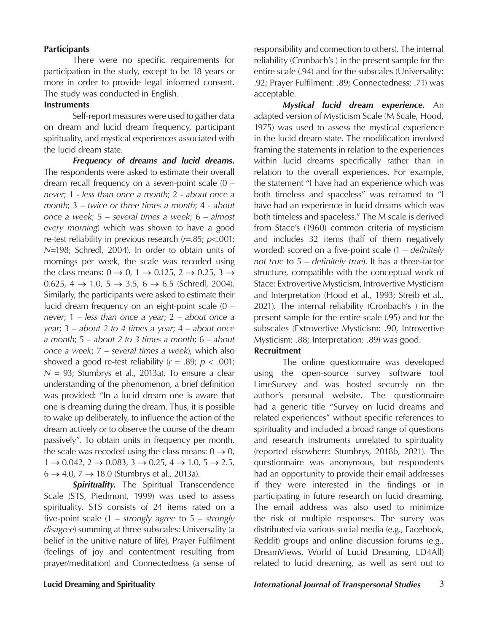#### **Participants**

There were no specific requirements for participation in the study, except to be 18 years or more in order to provide legal informed consent. The study was conducted in English.

#### **Instruments**

Self-report measures were used to gather data on dream and lucid dream frequency, participant spirituality, and mystical experiences associated with the lucid dream state.

*Frequency of dreams and lucid dreams.* The respondents were asked to estimate their overall dream recall frequency on a seven-point scale (0 – *never*; 1 - *less than once a month*; 2 - *about once a month*; 3 – *twice or three times a month*; 4 - *about once a week*; 5 – *several times a week*; 6 – *almost every morning*) which was shown to have a good re-test reliability in previous research (*r*=.85; *p*<.001; *N*=198; Schredl, 2004). In order to obtain units of mornings per week, the scale was recoded using the class means:  $0 \rightarrow 0$ ,  $1 \rightarrow 0.125$ ,  $2 \rightarrow 0.25$ ,  $3 \rightarrow$ 0.625,  $4 \rightarrow 1.0$ ,  $5 \rightarrow 3.5$ ,  $6 \rightarrow 6.5$  (Schredl, 2004). Similarly, the participants were asked to estimate their lucid dream frequency on an eight-point scale (0 – *never*; 1 – *less than once a year*; 2 – *about once a year*; 3 – *about 2 to 4 times a year*; 4 – *about once a month*; 5 – *about 2 to 3 times a month*; 6 – *about once a week*; 7 – *several times a week*), which also showed a good re-test reliability  $(r = .89; p < .001;$  $N = 93$ ; Stumbrys et al., 2013a). To ensure a clear understanding of the phenomenon, a brief definition was provided: "In a lucid dream one is aware that one is dreaming during the dream. Thus, it is possible to wake up deliberately, to influence the action of the dream actively or to observe the course of the dream passively". To obtain units in frequency per month, the scale was recoded using the class means:  $0 \rightarrow 0$ ,  $1 \rightarrow 0.042, 2 \rightarrow 0.083, 3 \rightarrow 0.25, 4 \rightarrow 1.0, 5 \rightarrow 2.5,$  $6 \rightarrow 4.0$ ,  $7 \rightarrow 18.0$  (Stumbrys et al., 2013a).

**Spirituality.** The Spiritual Transcendence Scale (STS, Piedmont, 1999) was used to assess spirituality. STS consists of 24 items rated on a five-point scale (1 – *strongly agree* to 5 – *strongly disagree*) summing at three subscales: Universality (a belief in the unitive nature of life), Prayer Fulfilment (feelings of joy and contentment resulting from prayer/meditation) and Connectedness (a sense of responsibility and connection to others). The internal reliability (Cronbach's ) in the present sample for the entire scale (.94) and for the subscales (Universality: .92; Prayer Fulfilment: .89; Connectedness: .71) was acceptable.

*Mystical lucid dream experience.* An adapted version of Mysticism Scale (M Scale, Hood, 1975) was used to assess the mystical experience in the lucid dream state. The modification involved framing the statements in relation to the experiences within lucid dreams specifically rather than in relation to the overall experiences. For example, the statement "I have had an experience which was both timeless and spaceless" was reframed to "I have had an experience in lucid dreams which was both timeless and spaceless." The M scale is derived from Stace's (1960) common criteria of mysticism and includes 32 items (half of them negatively worded) scored on a five-point scale (1 – *definitely not true* to 5 – *definitely true*). It has a three-factor structure, compatible with the conceptual work of Stace: Extrovertive Mysticism, Introvertive Mysticism and Interpretation (Hood et al., 1993; Streib et al., 2021). The internal reliability (Cronbach's ) in the present sample for the entire scale (.95) and for the subscales (Extrovertive Mysticism: .90, Introvertive Mysticism: .88; Interpretation: .89) was good.

#### **Recruitment**

The online questionnaire was developed using the open-source survey software tool LimeSurvey and was hosted securely on the author's personal website. The questionnaire had a generic title "Survey on lucid dreams and related experiences" without specific references to spirituality and included a broad range of questions and research instruments unrelated to spirituality (reported elsewhere: Stumbrys, 2018b, 2021). The questionnaire was anonymous, but respondents had an opportunity to provide their email addresses if they were interested in the findings or in participating in future research on lucid dreaming. The email address was also used to minimize the risk of multiple responses. The survey was distributed via various social media (e.g., Facebook, Reddit) groups and online discussion forums (e.g., DreamViews, World of Lucid Dreaming, LD4All) related to lucid dreaming, as well as sent out to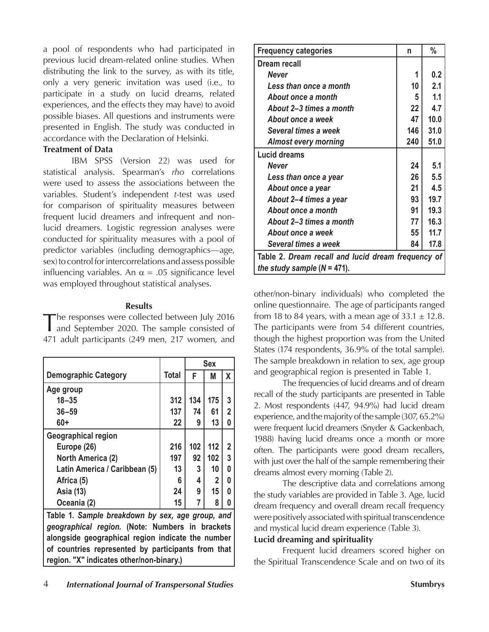a pool of respondents who had participated in previous lucid dream-related online studies. When distributing the link to the survey, as with its title, only a very generic invitation was used (i.e., to participate in a study on lucid dreams, related experiences, and the effects they may have) to avoid possible biases. All questions and instruments were presented in English. The study was conducted in accordance with the Declaration of Helsinki.

#### **Treatment of Data**

IBM SPSS (Version 22) was used for statistical analysis. Spearman's *rho* correlations were used to assess the associations between the variables. Student's independent *t*-test was used for comparison of spirituality measures between frequent lucid dreamers and infrequent and nonlucid dreamers. Logistic regression analyses were conducted for spirituality measures with a pool of predictor variables (including demographics—age, sex) to control for intercorrelations and assess possible influencing variables. An  $\alpha = .05$  significance level was employed throughout statistical analyses.

#### **Results**

The responses were collected between July 2016 and September 2020. The sample consisted of 471 adult participants (249 men, 217 women, and

|                                                    |              |     | <b>Sex</b>   |             |  |  |
|----------------------------------------------------|--------------|-----|--------------|-------------|--|--|
| <b>Demographic Category</b>                        | <b>Total</b> | F   | M            | X           |  |  |
| Age group                                          |              |     |              |             |  |  |
| $18 - 35$                                          | 312          | 134 | 175          | 3           |  |  |
| $36 - 59$                                          | 137          | 74  | 61           | 2           |  |  |
| $60+$                                              | 22           | 9   | 13           | 0           |  |  |
| Geographical region                                |              |     |              |             |  |  |
| Europe (26)                                        | 216          | 102 | 112          | $\mathbf 2$ |  |  |
| North America (2)                                  | 197          | 92  | 102          | 3           |  |  |
| Latin America / Caribbean (5)                      | 13           | 3   | 10           | 0           |  |  |
| Africa (5)                                         | 6            | 4   | $\mathbf{2}$ | 0           |  |  |
| Asia (13)                                          | 24           | 9   | 15           | 0           |  |  |
| Oceania (2)                                        | 15           |     | 8            | 0           |  |  |
| Table 1. Sample breakdown by sex, age group, and   |              |     |              |             |  |  |
| geographical region. (Note: Numbers in brackets    |              |     |              |             |  |  |
| alongside geographical region indicate the number  |              |     |              |             |  |  |
| of countries represented by participants from that |              |     |              |             |  |  |
| region. "X" indicates other/non-binary.)           |              |     |              |             |  |  |

| <b>Frequency categories</b>                        | n   | %    |  |  |  |
|----------------------------------------------------|-----|------|--|--|--|
| Dream recall                                       |     |      |  |  |  |
| <b>Never</b>                                       | 1   | 0.2  |  |  |  |
| Less than once a month                             | 10  | 2.1  |  |  |  |
| About once a month                                 | 5   | 1.1  |  |  |  |
| About 2–3 times a month                            | 22  | 4.7  |  |  |  |
| About once a week                                  | 47  | 10.0 |  |  |  |
| Several times a week                               | 146 | 31.0 |  |  |  |
| <b>Almost every morning</b>                        | 240 | 51.0 |  |  |  |
| <b>Lucid dreams</b>                                |     |      |  |  |  |
| Never                                              | 24  | 5.1  |  |  |  |
| Less than once a year                              | 26  | 5.5  |  |  |  |
| About once a year                                  | 21  | 4.5  |  |  |  |
| About 2–4 times a year                             | 93  | 19.7 |  |  |  |
| About once a month                                 | 91  | 19.3 |  |  |  |
| About 2–3 times a month                            | 77  | 16.3 |  |  |  |
| About once a week                                  | 55  | 11.7 |  |  |  |
| Several times a week                               | 84  | 17.8 |  |  |  |
| Table 2. Dream recall and lucid dream frequency of |     |      |  |  |  |
| the study sample $(N = 471)$ .                     |     |      |  |  |  |

other/non-binary individuals) who completed the online questionnaire. The age of participants ranged from 18 to 84 years, with a mean age of  $33.1 \pm 12.8$ . The participants were from 54 different countries, though the highest proportion was from the United States (174 respondents, 36.9% of the total sample). The sample breakdown in relation to sex, age group and geographical region is presented in Table 1.

The frequencies of lucid dreams and of dream recall of the study participants are presented in Table 2. Most respondents (447, 94.9%) had lucid dream experience, and the majority of the sample (307, 65.2%) were frequent lucid dreamers (Snyder & Gackenbach, 1988) having lucid dreams once a month or more often. The participants were good dream recallers, with just over the half of the sample remembering their dreams almost every morning (Table 2).

The descriptive data and correlations among the study variables are provided in Table 3. Age, lucid dream frequency and overall dream recall frequency were positively associated with spiritual transcendence and mystical lucid dream experience (Table 3).

#### **Lucid dreaming and spirituality**

Frequent lucid dreamers scored higher on the Spiritual Transcendence Scale and on two of its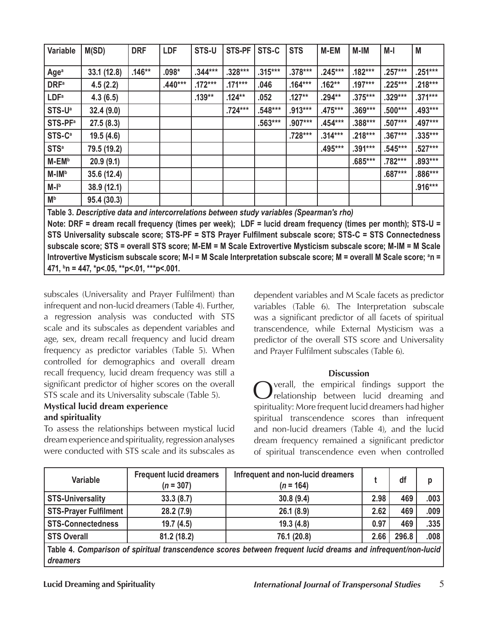| Variable                                                                                                        | M(SD)       | <b>DRF</b> | <b>LDF</b> | STS-U     | STS-PF    | STS-C     | <b>STS</b> | M-EM      | M-IM      | M-I       | M         |
|-----------------------------------------------------------------------------------------------------------------|-------------|------------|------------|-----------|-----------|-----------|------------|-----------|-----------|-----------|-----------|
| Age <sup>a</sup>                                                                                                | 33.1 (12.8) | $.146**$   | $.098*$    | $.344***$ | $.328***$ | $.315***$ | $.378***$  | $.245***$ | $.182***$ | $.257***$ | $.251***$ |
| <b>DRF</b> <sup>a</sup>                                                                                         | 4.5(2.2)    |            | $.440***$  | $.172***$ | $.171***$ | .046      | $.164***$  | $.162**$  | $.197***$ | $.225***$ | $.218***$ |
| LDF <sup>a</sup>                                                                                                | 4.3(6.5)    |            |            | $.139**$  | $.124**$  | .052      | $.127**$   | $.294**$  | $.375***$ | $.329***$ | $.371***$ |
| STS-U <sup>a</sup>                                                                                              | 32.4(9.0)   |            |            |           | $.724***$ | $.548***$ | $.913***$  | $.475***$ | $.369***$ | $.500***$ | $.493***$ |
| <b>STS-PF</b> <sup>a</sup>                                                                                      | 27.5(8.3)   |            |            |           |           | $.563***$ | .907***    | $.454***$ | .388***   | $.507***$ | $.497***$ |
| STS-C <sup>a</sup>                                                                                              | 19.5(4.6)   |            |            |           |           |           | .728***    | $.314***$ | $.218***$ | $.367***$ | $.335***$ |
| <b>STS<sup>a</sup></b>                                                                                          | 79.5 (19.2) |            |            |           |           |           |            | .495***   | $.391***$ | $.545***$ | $.527***$ |
| M-EM <sup>b</sup>                                                                                               | 20.9(9.1)   |            |            |           |           |           |            |           | $.685***$ | .782***   | $.893***$ |
| M-IM <sup>b</sup>                                                                                               | 35.6(12.4)  |            |            |           |           |           |            |           |           | $.687***$ | $.886***$ |
| $M-lb$                                                                                                          | 38.9 (12.1) |            |            |           |           |           |            |           |           |           | $.916***$ |
| M <sub>p</sub>                                                                                                  | 95.4 (30.3) |            |            |           |           |           |            |           |           |           |           |
| Table 3. Descriptive data and intercorrelations between study variables (Spearman's rho)                        |             |            |            |           |           |           |            |           |           |           |           |
| Note: DRF = dream recall frequency (times per week); LDF = lucid dream frequency (times per month); STS-U =     |             |            |            |           |           |           |            |           |           |           |           |
| STS Universality subscale score; STS-PF = STS Prayer Fulfilment subscale score; STS-C = STS Connectedness       |             |            |            |           |           |           |            |           |           |           |           |
| cubecale seems: STS = overall STS seems: M EM - M Seale Extravertive Musticism subscale seems: M IM - M Seale L |             |            |            |           |           |           |            |           |           |           |           |

**subscale score; STS = overall STS score; M-EM = M Scale Extrovertive Mysticism subscale score; M-IM = M Scale**  Introvertive Mysticism subscale score; M-I = M Scale Interpretation subscale score; M = overall M Scale score; <sup>a</sup>n = **471, b n = 447, \*p<.05, \*\*p<.01, \*\*\*p<.001.**

subscales (Universality and Prayer Fulfilment) than infrequent and non-lucid dreamers (Table 4). Further, a regression analysis was conducted with STS scale and its subscales as dependent variables and age, sex, dream recall frequency and lucid dream frequency as predictor variables (Table 5). When controlled for demographics and overall dream recall frequency, lucid dream frequency was still a significant predictor of higher scores on the overall STS scale and its Universality subscale (Table 5).

# **Mystical lucid dream experience and spirituality**

To assess the relationships between mystical lucid dream experience and spirituality, regression analyses were conducted with STS scale and its subscales as dependent variables and M Scale facets as predictor variables (Table 6). The Interpretation subscale was a significant predictor of all facets of spiritual transcendence, while External Mysticism was a predictor of the overall STS score and Universality and Prayer Fulfilment subscales (Table 6).

## **Discussion**

Overall, the empirical findings support the relationship between lucid dreaming and spirituality: More frequent lucid dreamers had higher spiritual transcendence scores than infrequent and non-lucid dreamers (Table 4), and the lucid dream frequency remained a significant predictor of spiritual transcendence even when controlled

| <b>Variable</b>                                                                                                            | <b>Frequent lucid dreamers</b><br>$(n = 307)$ | Infrequent and non-lucid dreamers<br>$(n = 164)$ |      | df    | p    |  |  |
|----------------------------------------------------------------------------------------------------------------------------|-----------------------------------------------|--------------------------------------------------|------|-------|------|--|--|
| <b>STS-Universality</b>                                                                                                    | 33.3(8.7)                                     | 30.8(9.4)                                        | 2.98 | 469   | .003 |  |  |
| <b>STS-Prayer Fulfilment</b>                                                                                               | 28.2(7.9)                                     | 26.1(8.9)                                        | 2.62 | 469   | .009 |  |  |
| <b>STS-Connectedness</b>                                                                                                   | 19.7(4.5)                                     | 19.3(4.8)                                        | 0.97 | 469   | .335 |  |  |
| <b>STS Overall</b>                                                                                                         | 81.2(18.2)                                    | 76.1 (20.8)                                      | 2.66 | 296.8 | .008 |  |  |
| $\mid$ Table 4. Comparison of spiritual transcendence scores between frequent lucid dreams and infrequent/non-lucid $\mid$ |                                               |                                                  |      |       |      |  |  |

**Table 4.** *Comparison of spiritual transcendence scores between frequent lucid dreams and infrequent/non-lucid dreamers*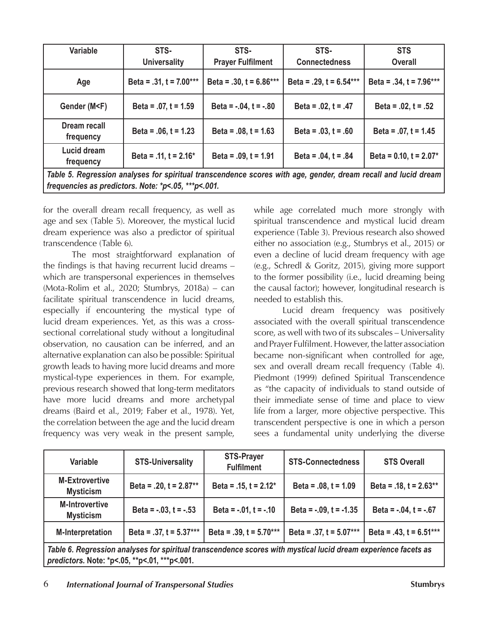| Variable                                                                                                                                                                                                                                  | STS-                      | STS-                       | STS-                         | <b>STS</b>                   |  |  |
|-------------------------------------------------------------------------------------------------------------------------------------------------------------------------------------------------------------------------------------------|---------------------------|----------------------------|------------------------------|------------------------------|--|--|
|                                                                                                                                                                                                                                           | <b>Universality</b>       | <b>Prayer Fulfilment</b>   | <b>Connectedness</b>         | <b>Overall</b>               |  |  |
| Age                                                                                                                                                                                                                                       | Beta = $.31, t = 7.00***$ | Beta = $.30, t = 6.86***$  | Beta = $.29$ , t = $6.54***$ | Beta = $.34$ , t = $7.96***$ |  |  |
| Gender (M <f)< td=""><td>Beta = <math>.07, t = 1.59</math></td><td>Beta = <math>-.04</math>, <math>t = -.80</math></td><td>Beta = <math>.02</math>, t = <math>.47</math></td><td>Beta = <math>.02</math>, t = <math>.52</math></td></f)<> | Beta = $.07, t = 1.59$    | Beta = $-.04$ , $t = -.80$ | Beta = $.02$ , t = $.47$     | Beta = $.02$ , t = $.52$     |  |  |
| Dream recall<br>frequency                                                                                                                                                                                                                 | Beta = $.06$ , t = 1.23   | Beta = $.08$ , t = 1.63    | Beta = $.03, t = .60$        | Beta = $.07$ , t = 1.45      |  |  |
| Lucid dream<br>frequency                                                                                                                                                                                                                  | Beta = .11, $t = 2.16*$   | Beta = $.09$ , t = 1.91    | Beta = $.04$ , t = $.84$     | Beta = $0.10$ , t = $2.07*$  |  |  |
| Table 5. Regression analyses for spiritual transcendence scores with age, gender, dream recall and lucid dream                                                                                                                            |                           |                            |                              |                              |  |  |

*frequencies as predictors. Note: \*p<.05, \*\*\*p<.001.*

for the overall dream recall frequency, as well as age and sex (Table 5). Moreover, the mystical lucid dream experience was also a predictor of spiritual transcendence (Table 6).

The most straightforward explanation of the findings is that having recurrent lucid dreams – which are transpersonal experiences in themselves (Mota-Rolim et al., 2020; Stumbrys, 2018a) – can facilitate spiritual transcendence in lucid dreams, especially if encountering the mystical type of lucid dream experiences. Yet, as this was a crosssectional correlational study without a longitudinal observation, no causation can be inferred, and an alternative explanation can also be possible: Spiritual growth leads to having more lucid dreams and more mystical-type experiences in them. For example, previous research showed that long-term meditators have more lucid dreams and more archetypal dreams (Baird et al., 2019; Faber et al., 1978). Yet, the correlation between the age and the lucid dream frequency was very weak in the present sample,

while age correlated much more strongly with spiritual transcendence and mystical lucid dream experience (Table 3). Previous research also showed either no association (e.g., Stumbrys et al., 2015) or even a decline of lucid dream frequency with age (e.g., Schredl & Goritz, 2015), giving more support to the former possibility (i.e., lucid dreaming being the causal factor); however, longitudinal research is needed to establish this.

Lucid dream frequency was positively associated with the overall spiritual transcendence score, as well with two of its subscales – Universality and Prayer Fulfilment. However, the latter association became non-significant when controlled for age, sex and overall dream recall frequency (Table 4). Piedmont (1999) defined Spiritual Transcendence as "the capacity of individuals to stand outside of their immediate sense of time and place to view life from a larger, more objective perspective. This transcendent perspective is one in which a person sees a fundamental unity underlying the diverse

| <b>Variable</b>                                                                                                | <b>STS-Universality</b>    | <b>STS-Prayer</b><br><b>Fulfilment</b> | <b>STS-Connectedness</b>    | <b>STS Overall</b>           |  |  |
|----------------------------------------------------------------------------------------------------------------|----------------------------|----------------------------------------|-----------------------------|------------------------------|--|--|
| <b>M-Extrovertive</b><br><b>Mysticism</b>                                                                      | Beta = $.20, t = 2.87**$   | Beta = $.15$ , t = $2.12*$             | Beta = $.08$ , t = 1.09     | Beta = .18, $t = 2.63**$     |  |  |
| <b>M-Introvertive</b><br><b>Mysticism</b>                                                                      | Beta = $-.03$ , $t = -.53$ | Beta = $-.01$ , t = $-.10$             | Beta = $-.09$ , t = $-1.35$ | Beta = $-.04$ , $t = -.67$   |  |  |
| <b>M-Interpretation</b>                                                                                        | Beta = .37, $t = 5.37***$  | Beta = $.39$ , t = $5.70***$           | Beta = .37, $t = 5.07***$   | Beta = $.43$ , t = $6.51***$ |  |  |
| Table 6. Regression analyses for spiritual transcendence scores with mystical lucid dream experience facets as |                            |                                        |                             |                              |  |  |
| predictors. Note: *p<.05, **p<.01, ***p<.001.                                                                  |                            |                                        |                             |                              |  |  |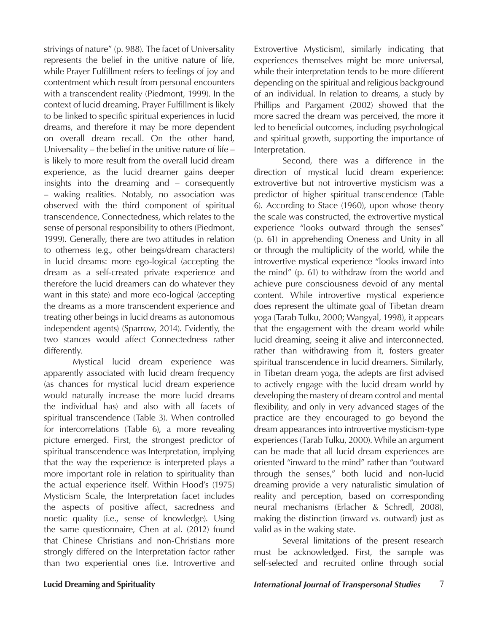strivings of nature" (p. 988). The facet of Universality represents the belief in the unitive nature of life, while Prayer Fulfillment refers to feelings of joy and contentment which result from personal encounters with a transcendent reality (Piedmont, 1999). In the context of lucid dreaming, Prayer Fulfillment is likely to be linked to specific spiritual experiences in lucid dreams, and therefore it may be more dependent on overall dream recall. On the other hand, Universality – the belief in the unitive nature of life – is likely to more result from the overall lucid dream experience, as the lucid dreamer gains deeper insights into the dreaming and – consequently – waking realities. Notably, no association was observed with the third component of spiritual transcendence, Connectedness, which relates to the sense of personal responsibility to others (Piedmont, 1999). Generally, there are two attitudes in relation to otherness (e.g., other beings/dream characters) in lucid dreams: more ego-logical (accepting the dream as a self-created private experience and therefore the lucid dreamers can do whatever they want in this state) and more eco-logical (accepting the dreams as a more transcendent experience and treating other beings in lucid dreams as autonomous independent agents) (Sparrow, 2014). Evidently, the two stances would affect Connectedness rather differently.

Mystical lucid dream experience was apparently associated with lucid dream frequency (as chances for mystical lucid dream experience would naturally increase the more lucid dreams the individual has) and also with all facets of spiritual transcendence (Table 3). When controlled for intercorrelations (Table 6), a more revealing picture emerged. First, the strongest predictor of spiritual transcendence was Interpretation, implying that the way the experience is interpreted plays a more important role in relation to spirituality than the actual experience itself. Within Hood's (1975) Mysticism Scale, the Interpretation facet includes the aspects of positive affect, sacredness and noetic quality (i.e., sense of knowledge). Using the same questionnaire, Chen at al. (2012) found that Chinese Christians and non-Christians more strongly differed on the Interpretation factor rather than two experiential ones (i.e. Introvertive and

Extrovertive Mysticism), similarly indicating that experiences themselves might be more universal, while their interpretation tends to be more different depending on the spiritual and religious background of an individual. In relation to dreams, a study by Phillips and Pargament (2002) showed that the more sacred the dream was perceived, the more it led to beneficial outcomes, including psychological and spiritual growth, supporting the importance of Interpretation.

Second, there was a difference in the direction of mystical lucid dream experience: extrovertive but not introvertive mysticism was a predictor of higher spiritual transcendence (Table 6). According to Stace (1960), upon whose theory the scale was constructed, the extrovertive mystical experience "looks outward through the senses" (p. 61) in apprehending Oneness and Unity in all or through the multiplicity of the world, while the introvertive mystical experience "looks inward into the mind" (p. 61) to withdraw from the world and achieve pure consciousness devoid of any mental content. While introvertive mystical experience does represent the ultimate goal of Tibetan dream yoga (Tarab Tulku, 2000; Wangyal, 1998), it appears that the engagement with the dream world while lucid dreaming, seeing it alive and interconnected, rather than withdrawing from it, fosters greater spiritual transcendence in lucid dreamers. Similarly, in Tibetan dream yoga, the adepts are first advised to actively engage with the lucid dream world by developing the mastery of dream control and mental flexibility, and only in very advanced stages of the practice are they encouraged to go beyond the dream appearances into introvertive mysticism-type experiences (Tarab Tulku, 2000). While an argument can be made that all lucid dream experiences are oriented "inward to the mind" rather than "outward through the senses," both lucid and non-lucid dreaming provide a very naturalistic simulation of reality and perception, based on corresponding neural mechanisms (Erlacher & Schredl, 2008), making the distinction (inward *vs.* outward) just as valid as in the waking state.

Several limitations of the present research must be acknowledged. First, the sample was self-selected and recruited online through social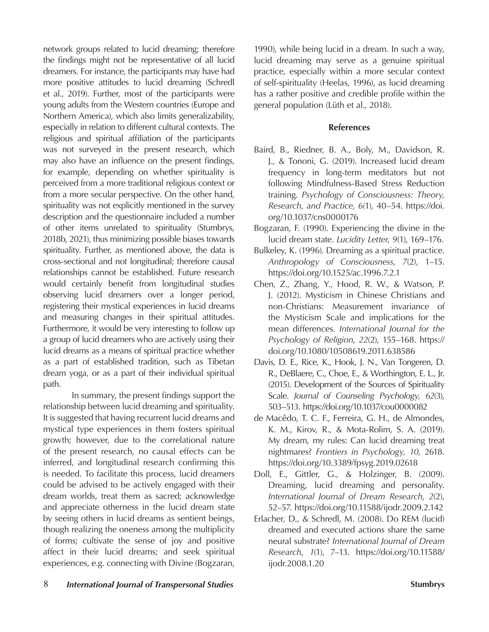network groups related to lucid dreaming; therefore the findings might not be representative of all lucid dreamers. For instance, the participants may have had more positive attitudes to lucid dreaming (Schredl et al., 2019). Further, most of the participants were young adults from the Western countries (Europe and Northern America), which also limits generalizability, especially in relation to different cultural contexts. The religious and spiritual affiliation of the participants was not surveyed in the present research, which may also have an influence on the present findings, for example, depending on whether spirituality is perceived from a more traditional religious context or from a more secular perspective. On the other hand, spirituality was not explicitly mentioned in the survey description and the questionnaire included a number of other items unrelated to spirituality (Stumbrys, 2018b, 2021), thus minimizing possible biases towards spirituality. Further, as mentioned above, the data is cross-sectional and not longitudinal; therefore causal relationships cannot be established. Future research would certainly benefit from longitudinal studies observing lucid dreamers over a longer period, registering their mystical experiences in lucid dreams and measuring changes in their spiritual attitudes. Furthermore, it would be very interesting to follow up a group of lucid dreamers who are actively using their lucid dreams as a means of spiritual practice whether as a part of established tradition, such as Tibetan dream yoga, or as a part of their individual spiritual path.

In summary, the present findings support the relationship between lucid dreaming and spirituality. It is suggested that having recurrent lucid dreams and mystical type experiences in them fosters spiritual growth; however, due to the correlational nature of the present research, no causal effects can be inferred, and longitudinal research confirming this is needed. To facilitate this process, lucid dreamers could be advised to be actively engaged with their dream worlds, treat them as sacred; acknowledge and appreciate otherness in the lucid dream state by seeing others in lucid dreams as sentient beings, though realizing the oneness among the multiplicity of forms; cultivate the sense of joy and positive affect in their lucid dreams; and seek spiritual experiences, e.g. connecting with Divine (Bogzaran,

1990), while being lucid in a dream. In such a way, lucid dreaming may serve as a genuine spiritual practice, especially within a more secular context of self-spirituality (Heelas, 1996), as lucid dreaming has a rather positive and credible profile within the general population (Lüth et al., 2018).

### **References**

- Baird, B., Riedner, B. A., Boly, M., Davidson, R. J., & Tononi, G. (2019). Increased lucid dream frequency in long-term meditators but not following Mindfulness-Based Stress Reduction training. *Psychology of Consciousness: Theory, Research, and Practice*, *6*(1), 40–54. https://doi. org/10.1037/cns0000176
- Bogzaran, F. (1990). Experiencing the divine in the lucid dream state. *Lucidity Letter*, *9*(1), 169–176.
- Bulkeley, K. (1996). Dreaming as a spiritual practice. *Anthropology of Consciousness*, *7*(2), 1–15. https://doi.org/10.1525/ac.1996.7.2.1
- Chen, Z., Zhang, Y., Hood, R. W., & Watson, P. J. (2012). Mysticism in Chinese Christians and non-Christians: Measurement invariance of the Mysticism Scale and implications for the mean differences. *International Journal for the Psychology of Religion*, *22*(2), 155–168. https:// doi.org/10.1080/10508619.2011.638586
- Davis, D. E., Rice, K., Hook, J. N., Van Tongeren, D. R., DeBlaere, C., Choe, E., & Worthington, E. L., Jr. (2015). Development of the Sources of Spirituality Scale. *Journal of Counseling Psychology, 62*(3), 503–513. https://doi.org/10.1037/cou0000082
- de Macêdo, T. C. F., Ferreira, G. H., de Almondes, K. M., Kirov, R., & Mota-Rolim, S. A. (2019). My dream, my rules: Can lucid dreaming treat nightmares? *Frontiers in Psychology, 10,* 2618. https://doi.org/10.3389/fpsyg.2019.02618
- Doll, E., Gittler, G., & Holzinger, B. (2009). Dreaming, lucid dreaming and personality. *International Journal of Dream Research*, *2*(2), 52–57. https://doi.org/10.11588/ijodr.2009.2.142
- Erlacher, D., & Schredl, M. (2008). Do REM (lucid) dreamed and executed actions share the same neural substrate? *International Journal of Dream Research*, *1*(1), 7–13. https://doi.org/10.11588/ ijodr.2008.1.20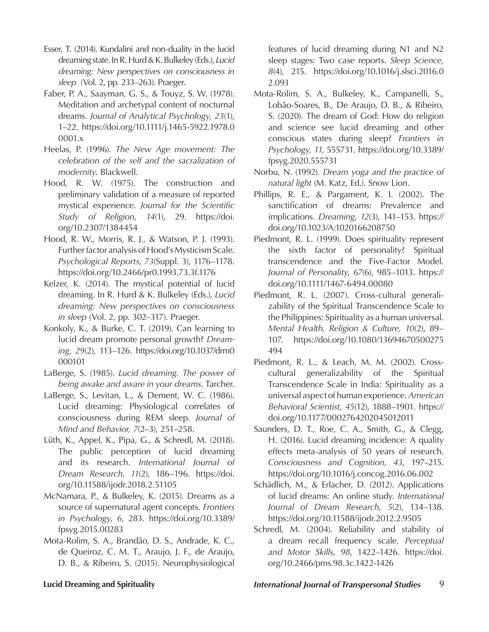- Esser, T. (2014). Kundalini and non-duality in the lucid dreaming state. In R. Hurd & K. Bulkeley (Eds.), *Lucid dreaming: New perspectives on consciousness in sleep* (Vol. 2, pp. 233–263). Praeger.
- Faber, P. A., Saayman, G. S., & Touyz, S. W. (1978). Meditation and archetypal content of nocturnal dreams. *Journal of Analytical Psychology*, *23*(1), 1–22. https://doi.org/10.1111/j.1465-5922.1978.0 0001.x
- Heelas, P. (1996). *The New Age movement: The celebration of the self and the sacralization of modernity*. Blackwell.
- Hood, R. W. (1975). The construction and preliminary validation of a measure of reported mystical experience. *Journal for the Scientific Study of Religion*, *14*(1), 29. https://doi. org/10.2307/1384454
- Hood, R. W., Morris, R. J., & Watson, P. J. (1993). Further factor analysis of Hood's Mysticism Scale. *Psychological Reports*, *73*(Suppl. 3), 1176–1178. https://doi.org/10.2466/pr0.1993.73.3f.1176
- Kelzer, K. (2014). The mystical potential of lucid dreaming. In R. Hurd & K. Bulkeley (Eds.), *Lucid dreaming: New perspectives on consciousness in sleep* (Vol. 2, pp. 302–317). Praeger.
- Konkoly, K., & Burke, C. T. (2019). Can learning to lucid dream promote personal growth? *Dreaming*, *29*(2), 113–126. https://doi.org/10.1037/drm0 000101
- LaBerge, S. (1985). *Lucid dreaming. The power of being awake and aware in your dreams*. Tarcher.
- LaBerge, S., Levitan, L., & Dement, W. C. (1986). Lucid dreaming: Physiological correlates of consciousness during REM sleep. *Journal of Mind and Behavior, 7*(2–3), 251–258.
- Lüth, K., Appel, K., Pipa, G., & Schredl, M. (2018). The public perception of lucid dreaming and its research. *International Journal of Dream Research*, *11*(2), 186–196. https://doi. org/10.11588/ijodr.2018.2.51105
- McNamara, P., & Bulkeley, K. (2015). Dreams as a source of supernatural agent concepts. *Frontiers in Psychology*, *6*, 283. https://doi.org/10.3389/ fpsyg.2015.00283
- Mota-Rolim, S. A., Brandão, D. S., Andrade, K. C., de Queiroz, C. M. T., Araujo, J. F., de Araujo, D. B., & Ribeiro, S. (2015). Neurophysiological

features of lucid dreaming during N1 and N2 sleep stages: Two case reports. *Sleep Science, 8*(4), 215. https://doi.org/10.1016/j.slsci.2016.0 2.093

- Mota-Rolim, S. A., Bulkeley, K., Campanelli, S., Lobão-Soares, B., De Araujo, D. B., & Ribeiro, S. (2020). The dream of God: How do religion and science see lucid dreaming and other conscious states during sleep? *Frontiers in Psychology, 11*, 555731. https://doi.org/10.3389/ fpsyg.2020.555731
- Norbu, N. (1992). *Dream yoga and the practice of natural light* (M. Katz, Ed.). Snow Lion.
- Phillips, R. E., & Pargament, K. I. (2002). The sanctification of dreams: Prevalence and implications. *Dreaming*, *12*(3), 141–153. https:// doi.org/10.1023/A:1020166208750
- Piedmont, R. L. (1999). Does spirituality represent the sixth factor of personality? Spiritual transcendence and the Five-Factor Model. *Journal of Personality*, *67*(6), 985–1013. https:// doi.org/10.1111/1467-6494.00080
- Piedmont, R. L. (2007). Cross-cultural generalizability of the Spiritual Transcendence Scale to the Philippines: Spirituality as a human universal. *Mental Health, Religion & Culture, 10*(2), 89– 107. https://doi.org/10.1080/13694670500275 494
- Piedmont, R. L., & Leach, M. M. (2002). Crosscultural generalizability of the Spiritual Transcendence Scale in India: Spirituality as a universal aspect of human experience. *American Behavioral Scientist, 45*(12), 1888–1901. https:// doi.org/10.1177/0002764202045012011
- Saunders, D. T., Roe, C. A., Smith, G., & Clegg, H. (2016). Lucid dreaming incidence: A quality effects meta-analysis of 50 years of research. *Consciousness and Cognition, 43*, 197–215. https://doi.org/10.1016/j.concog.2016.06.002
- Schädlich, M., & Erlacher, D. (2012). Applications of lucid dreams: An online study. *International Journal of Dream Research*, *5*(2), 134–138. https://doi.org/10.11588/ijodr.2012.2.9505
- Schredl, M. (2004). Reliability and stability of a dream recall frequency scale. *Perceptual and Motor Skills*, *98*, 1422–1426. https://doi. org/10.2466/pms.98.3c.1422-1426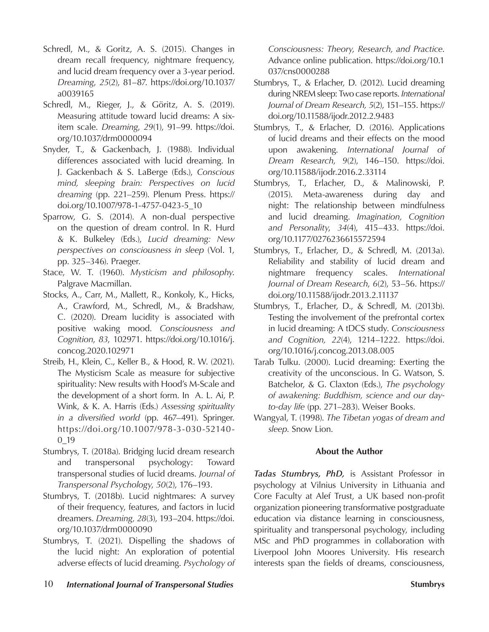- Schredl, M., & Goritz, A. S. (2015). Changes in dream recall frequency, nightmare frequency, and lucid dream frequency over a 3-year period. *Dreaming*, *25*(2), 81–87. https://doi.org/10.1037/ a0039165
- Schredl, M., Rieger, J., & Göritz, A. S. (2019). Measuring attitude toward lucid dreams: A sixitem scale. *Dreaming*, *29*(1), 91–99. https://doi. org/10.1037/drm0000094
- Snyder, T., & Gackenbach, J. (1988). Individual differences associated with lucid dreaming. In J. Gackenbach & S. LaBerge (Eds.), *Conscious mind, sleeping brain: Perspectives on lucid dreaming* (pp. 221–259). Plenum Press. https:// doi.org/10.1007/978-1-4757-0423-5\_10
- Sparrow, G. S. (2014). A non-dual perspective on the question of dream control. In R. Hurd & K. Bulkeley (Eds.), *Lucid dreaming: New perspectives on consciousness in sleep* (Vol. 1, pp. 325–346). Praeger.
- Stace, W. T. (1960). *Mysticism and philosophy*. Palgrave Macmillan.
- Stocks, A., Carr, M., Mallett, R., Konkoly, K., Hicks, A., Crawford, M., Schredl, M., & Bradshaw, C. (2020). Dream lucidity is associated with positive waking mood. *Consciousness and Cognition*, *83*, 102971. https://doi.org/10.1016/j. concog.2020.102971
- Streib, H., Klein, C., Keller B., & Hood, R. W. (2021). The Mysticism Scale as measure for subjective spirituality: New results with Hood's M-Scale and the development of a short form. In A. L. Ai, P. Wink, & K. A. Harris (Eds.) *Assessing spirituality in a diversified world* (pp. 467–491). Springer. https://doi.org/10.1007/978-3-030-52140- 0\_19
- Stumbrys, T. (2018a). Bridging lucid dream research and transpersonal psychology: Toward transpersonal studies of lucid dreams. *Journal of Transpersonal Psychology*, *50*(2), 176–193.
- Stumbrys, T. (2018b). Lucid nightmares: A survey of their frequency, features, and factors in lucid dreamers. *Dreaming, 28*(3), 193–204. https://doi. org/10.1037/drm0000090
- Stumbrys, T. (2021). Dispelling the shadows of the lucid night: An exploration of potential adverse effects of lucid dreaming. *Psychology of*

*Consciousness: Theory, Research, and Practice*. Advance online publication. https://doi.org/10.1 037/cns0000288

- Stumbrys, T., & Erlacher, D. (2012). Lucid dreaming during NREM sleep: Two case reports. *International Journal of Dream Research, 5*(2), 151–155. https:// doi.org/10.11588/ijodr.2012.2.9483
- Stumbrys, T., & Erlacher, D. (2016). Applications of lucid dreams and their effects on the mood upon awakening. *International Journal of Dream Research*, *9*(2), 146–150. https://doi. org/10.11588/ijodr.2016.2.33114
- Stumbrys, T., Erlacher, D., & Malinowski, P. (2015). Meta-awareness during day and night: The relationship between mindfulness and lucid dreaming. *Imagination, Cognition and Personality*, *34*(4), 415–433. https://doi. org/10.1177/0276236615572594
- Stumbrys, T., Erlacher, D., & Schredl, M. (2013a). Reliability and stability of lucid dream and nightmare frequency scales. *International Journal of Dream Research*, *6*(2), 53–56. https:// doi.org/10.11588/ijodr.2013.2.11137
- Stumbrys, T., Erlacher, D., & Schredl, M. (2013b). Testing the involvement of the prefrontal cortex in lucid dreaming: A tDCS study. *Consciousness and Cognition, 22*(4), 1214–1222. https://doi. org/10.1016/j.concog.2013.08.005
- Tarab Tulku. (2000). Lucid dreaming: Exerting the creativity of the unconscious. In G. Watson, S. Batchelor, & G. Claxton (Eds.), *The psychology of awakening: Buddhism, science and our dayto-day life* (pp. 271–283). Weiser Books.
- Wangyal, T. (1998). *The Tibetan yogas of dream and sleep*. Snow Lion.

## **About the Author**

*Tadas Stumbrys, PhD,* is Assistant Professor in psychology at Vilnius University in Lithuania and Core Faculty at Alef Trust, a UK based non-profit organization pioneering transformative postgraduate education via distance learning in consciousness, spirituality and transpersonal psychology, including MSc and PhD programmes in collaboration with Liverpool John Moores University. His research interests span the fields of dreams, consciousness,

10 *International Journal of Transpersonal Studies* **Stumbrys**